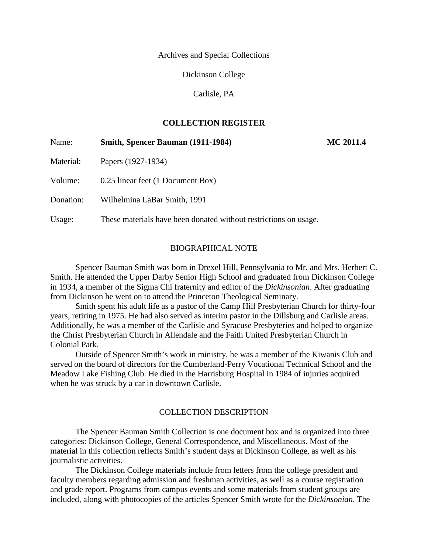Archives and Special Collections

Dickinson College

Carlisle, PA

## **COLLECTION REGISTER**

| Name:     | Smith, Spencer Bauman (1911-1984)                                | <b>MC 2011.4</b> |
|-----------|------------------------------------------------------------------|------------------|
| Material: | Papers (1927-1934)                                               |                  |
| Volume:   | 0.25 linear feet (1 Document Box)                                |                  |
| Donation: | Wilhelmina LaBar Smith, 1991                                     |                  |
| Usage:    | These materials have been donated without restrictions on usage. |                  |

### BIOGRAPHICAL NOTE

Spencer Bauman Smith was born in Drexel Hill, Pennsylvania to Mr. and Mrs. Herbert C. Smith. He attended the Upper Darby Senior High School and graduated from Dickinson College in 1934, a member of the Sigma Chi fraternity and editor of the *Dickinsonian*. After graduating from Dickinson he went on to attend the Princeton Theological Seminary.

Smith spent his adult life as a pastor of the Camp Hill Presbyterian Church for thirty-four years, retiring in 1975. He had also served as interim pastor in the Dillsburg and Carlisle areas. Additionally, he was a member of the Carlisle and Syracuse Presbyteries and helped to organize the Christ Presbyterian Church in Allendale and the Faith United Presbyterian Church in Colonial Park.

Outside of Spencer Smith's work in ministry, he was a member of the Kiwanis Club and served on the board of directors for the Cumberland-Perry Vocational Technical School and the Meadow Lake Fishing Club. He died in the Harrisburg Hospital in 1984 of injuries acquired when he was struck by a car in downtown Carlisle.

#### COLLECTION DESCRIPTION

The Spencer Bauman Smith Collection is one document box and is organized into three categories: Dickinson College, General Correspondence, and Miscellaneous. Most of the material in this collection reflects Smith's student days at Dickinson College, as well as his journalistic activities.

The Dickinson College materials include from letters from the college president and faculty members regarding admission and freshman activities, as well as a course registration and grade report. Programs from campus events and some materials from student groups are included, along with photocopies of the articles Spencer Smith wrote for the *Dickinsonian*. The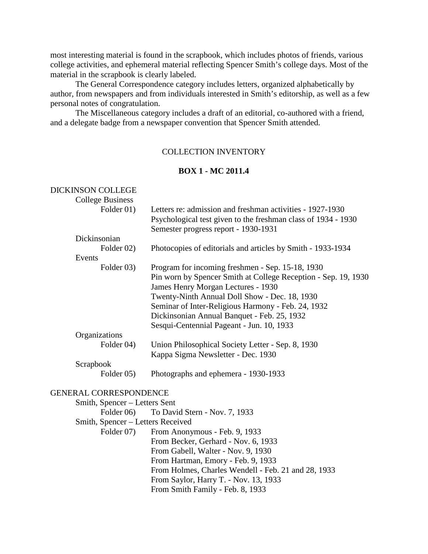most interesting material is found in the scrapbook, which includes photos of friends, various college activities, and ephemeral material reflecting Spencer Smith's college days. Most of the material in the scrapbook is clearly labeled.

The General Correspondence category includes letters, organized alphabetically by author, from newspapers and from individuals interested in Smith's editorship, as well as a few personal notes of congratulation.

The Miscellaneous category includes a draft of an editorial, co-authored with a friend, and a delegate badge from a newspaper convention that Spencer Smith attended.

## COLLECTION INVENTORY

## **BOX 1 - MC 2011.4**

| <b>DICKINSON COLLEGE</b>          |                                                                                                                                                                                                                                                                                                                |
|-----------------------------------|----------------------------------------------------------------------------------------------------------------------------------------------------------------------------------------------------------------------------------------------------------------------------------------------------------------|
| <b>College Business</b>           |                                                                                                                                                                                                                                                                                                                |
| Folder 01)                        | Letters re: admission and freshman activities - 1927-1930<br>Psychological test given to the freshman class of 1934 - 1930<br>Semester progress report - 1930-1931                                                                                                                                             |
| Dickinsonian                      |                                                                                                                                                                                                                                                                                                                |
| Folder 02)                        | Photocopies of editorials and articles by Smith - 1933-1934                                                                                                                                                                                                                                                    |
| Events                            |                                                                                                                                                                                                                                                                                                                |
| Folder 03)                        | Program for incoming freshmen - Sep. 15-18, 1930<br>Pin worn by Spencer Smith at College Reception - Sep. 19, 1930<br>James Henry Morgan Lectures - 1930<br>Twenty-Ninth Annual Doll Show - Dec. 18, 1930<br>Seminar of Inter-Religious Harmony - Feb. 24, 1932<br>Dickinsonian Annual Banquet - Feb. 25, 1932 |
|                                   | Sesqui-Centennial Pageant - Jun. 10, 1933                                                                                                                                                                                                                                                                      |
| Organizations                     |                                                                                                                                                                                                                                                                                                                |
| Folder 04)                        | Union Philosophical Society Letter - Sep. 8, 1930<br>Kappa Sigma Newsletter - Dec. 1930                                                                                                                                                                                                                        |
| Scrapbook                         |                                                                                                                                                                                                                                                                                                                |
| Folder 05)                        | Photographs and ephemera - 1930-1933                                                                                                                                                                                                                                                                           |
| <b>GENERAL CORRESPONDENCE</b>     |                                                                                                                                                                                                                                                                                                                |
| Smith, Spencer - Letters Sent     |                                                                                                                                                                                                                                                                                                                |
| Folder 06)                        | To David Stern - Nov. 7, 1933                                                                                                                                                                                                                                                                                  |
| Smith, Spencer - Letters Received |                                                                                                                                                                                                                                                                                                                |
| Folder 07)                        | From Anonymous - Feb. 9, 1933                                                                                                                                                                                                                                                                                  |
|                                   | From Becker, Gerhard - Nov. 6, 1933                                                                                                                                                                                                                                                                            |
|                                   | From Gabell, Walter - Nov. 9, 1930                                                                                                                                                                                                                                                                             |
|                                   | From Hartman, Emory - Feb. 9, 1933                                                                                                                                                                                                                                                                             |
|                                   | From Holmes, Charles Wendell - Feb. 21 and 28, 1933                                                                                                                                                                                                                                                            |
|                                   | From Saylor, Harry T. - Nov. 13, 1933                                                                                                                                                                                                                                                                          |
|                                   | From Smith Family - Feb. 8, 1933                                                                                                                                                                                                                                                                               |